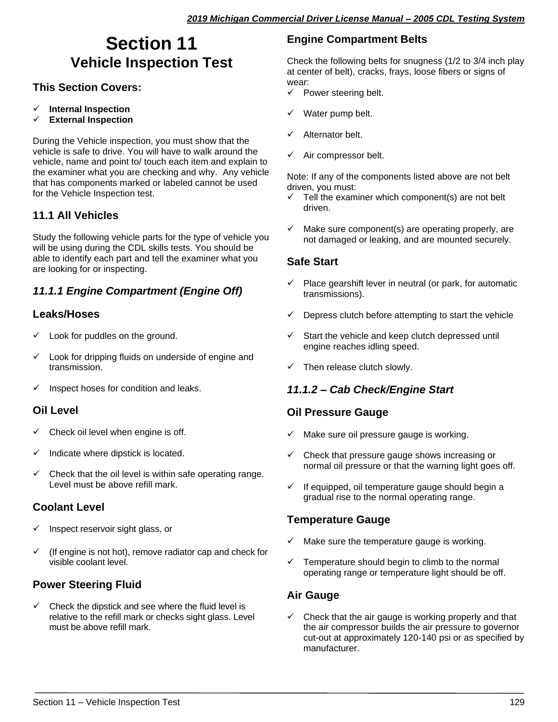# **Section 11 Vehicle Inspection Test**

## **This Section Covers:**

- ✓ **Internal Inspection**
- ✓ **External Inspection**

During the Vehicle inspection, you must show that the vehicle is safe to drive. You will have to walk around the vehicle, name and point to/ touch each item and explain to the examiner what you are checking and why. Any vehicle that has components marked or labeled cannot be used for the Vehicle Inspection test.

#### **11.1 All Vehicles**

Study the following vehicle parts for the type of vehicle you will be using during the CDL skills tests. You should be able to identify each part and tell the examiner what you are looking for or inspecting.

## *11.1.1 Engine Compartment (Engine Off)*

#### **Leaks/Hoses**

- $\checkmark$  Look for puddles on the ground.
- Look for dripping fluids on underside of engine and transmission.
- $\checkmark$  Inspect hoses for condition and leaks.

#### **Oil Level**

- $\checkmark$  Check oil level when engine is off.
- $\checkmark$  Indicate where dipstick is located.
- Check that the oil level is within safe operating range. Level must be above refill mark.

## **Coolant Level**

- $\checkmark$  Inspect reservoir sight glass, or
- (If engine is not hot), remove radiator cap and check for visible coolant level.

## **Power Steering Fluid**

Check the dipstick and see where the fluid level is relative to the refill mark or checks sight glass. Level must be above refill mark.

## **Engine Compartment Belts**

Check the following belts for snugness (1/2 to 3/4 inch play at center of belt), cracks, frays, loose fibers or signs of wear:

- $\checkmark$  Power steering belt.
- Water pump belt.
- Alternator belt.
- Air compressor belt.

Note: If any of the components listed above are not belt driven, you must:

- $\checkmark$  Tell the examiner which component(s) are not belt driven.
- $\checkmark$  Make sure component(s) are operating properly, are not damaged or leaking, and are mounted securely.

#### **Safe Start**

- Place gearshift lever in neutral (or park, for automatic transmissions).
- Depress clutch before attempting to start the vehicle
- Start the vehicle and keep clutch depressed until engine reaches idling speed.
- $\checkmark$  Then release clutch slowly.

#### *11.1.2 – Cab Check/Engine Start*

#### **Oil Pressure Gauge**

- $\checkmark$  Make sure oil pressure gauge is working.
- ✓ Check that pressure gauge shows increasing or normal oil pressure or that the warning light goes off.
- $\checkmark$  If equipped, oil temperature gauge should begin a gradual rise to the normal operating range.

#### **Temperature Gauge**

- Make sure the temperature gauge is working.
- $\checkmark$  Temperature should begin to climb to the normal operating range or temperature light should be off.

## **Air Gauge**

 $\checkmark$  Check that the air gauge is working properly and that the air compressor builds the air pressure to governor cut-out at approximately 120-140 psi or as specified by manufacturer.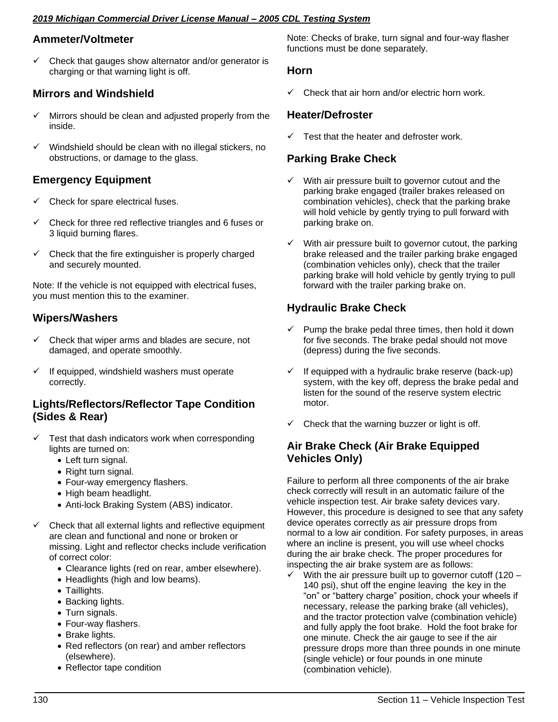#### *2019 Michigan Commercial Driver License Manual – 2005 CDL Testing System*

#### **Ammeter/Voltmeter**

 $\checkmark$  Check that gauges show alternator and/or generator is charging or that warning light is off.

## **Mirrors and Windshield**

- Mirrors should be clean and adjusted properly from the inside.
- Windshield should be clean with no illegal stickers, no obstructions, or damage to the glass.

## **Emergency Equipment**

- Check for spare electrical fuses.
- Check for three red reflective triangles and 6 fuses or 3 liquid burning flares.
- $\checkmark$  Check that the fire extinguisher is properly charged and securely mounted.

Note: If the vehicle is not equipped with electrical fuses, you must mention this to the examiner.

## **Wipers/Washers**

- Check that wiper arms and blades are secure, not damaged, and operate smoothly.
- ✓ If equipped, windshield washers must operate correctly.

#### **Lights/Reflectors/Reflector Tape Condition (Sides & Rear)**

- $\checkmark$  Test that dash indicators work when corresponding lights are turned on:
	- Left turn signal.
	- Right turn signal.
	- Four-way emergency flashers.
	- High beam headlight.
	- Anti-lock Braking System (ABS) indicator.
- ✓ Check that all external lights and reflective equipment are clean and functional and none or broken or missing. Light and reflector checks include verification of correct color:
	- Clearance lights (red on rear, amber elsewhere).
	- Headlights (high and low beams).
	- Taillights.
	- Backing lights.
	- Turn signals.
	- Four-way flashers.
	- Brake lights.
	- Red reflectors (on rear) and amber reflectors (elsewhere).
	- Reflector tape condition

Note: Checks of brake, turn signal and four-way flasher functions must be done separately.

#### **Horn**

Check that air horn and/or electric horn work.

#### **Heater/Defroster**

Test that the heater and defroster work.

#### **Parking Brake Check**

- With air pressure built to governor cutout and the parking brake engaged (trailer brakes released on combination vehicles), check that the parking brake will hold vehicle by gently trying to pull forward with parking brake on.
- With air pressure built to governor cutout, the parking brake released and the trailer parking brake engaged (combination vehicles only), check that the trailer parking brake will hold vehicle by gently trying to pull forward with the trailer parking brake on.

## **Hydraulic Brake Check**

- $\checkmark$  Pump the brake pedal three times, then hold it down for five seconds. The brake pedal should not move (depress) during the five seconds.
- $\checkmark$  If equipped with a hydraulic brake reserve (back-up) system, with the key off, depress the brake pedal and listen for the sound of the reserve system electric motor.
- $\checkmark$  Check that the warning buzzer or light is off.

#### **Air Brake Check (Air Brake Equipped Vehicles Only)**

Failure to perform all three components of the air brake check correctly will result in an automatic failure of the vehicle inspection test. Air brake safety devices vary. However, this procedure is designed to see that any safety device operates correctly as air pressure drops from normal to a low air condition. For safety purposes, in areas where an incline is present, you will use wheel chocks during the air brake check. The proper procedures for inspecting the air brake system are as follows:

 $\checkmark$  With the air pressure built up to governor cutoff (120 – 140 psi), shut off the engine leaving the key in the "on" or "battery charge" position, chock your wheels if necessary, release the parking brake (all vehicles), and the tractor protection valve (combination vehicle) and fully apply the foot brake. Hold the foot brake for one minute. Check the air gauge to see if the air pressure drops more than three pounds in one minute (single vehicle) or four pounds in one minute (combination vehicle).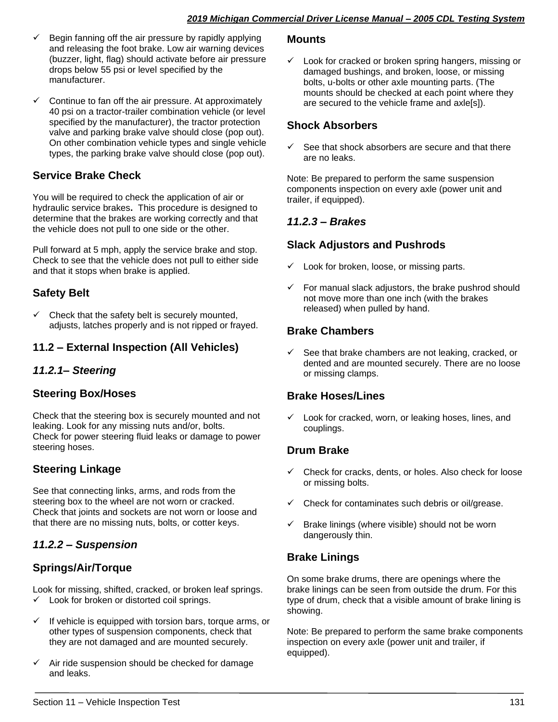- $\checkmark$  Begin fanning off the air pressure by rapidly applying and releasing the foot brake. Low air warning devices (buzzer, light, flag) should activate before air pressure drops below 55 psi or level specified by the manufacturer.
- Continue to fan off the air pressure. At approximately 40 psi on a tractor-trailer combination vehicle (or level specified by the manufacturer), the tractor protection valve and parking brake valve should close (pop out). On other combination vehicle types and single vehicle types, the parking brake valve should close (pop out).

## **Service Brake Check**

You will be required to check the application of air or hydraulic service brakes**.** This procedure is designed to determine that the brakes are working correctly and that the vehicle does not pull to one side or the other.

Pull forward at 5 mph, apply the service brake and stop. Check to see that the vehicle does not pull to either side and that it stops when brake is applied.

## **Safety Belt**

Check that the safety belt is securely mounted, adjusts, latches properly and is not ripped or frayed.

## **11.2 – External Inspection (All Vehicles)**

## *11.2.1– Steering*

## **Steering Box/Hoses**

Check that the steering box is securely mounted and not leaking. Look for any missing nuts and/or, bolts. Check for power steering fluid leaks or damage to power steering hoses.

## **Steering Linkage**

See that connecting links, arms, and rods from the steering box to the wheel are not worn or cracked. Check that joints and sockets are not worn or loose and that there are no missing nuts, bolts, or cotter keys.

## *11.2.2 – Suspension*

## **Springs/Air/Torque**

Look for missing, shifted, cracked, or broken leaf springs. ✓ Look for broken or distorted coil springs.

- If vehicle is equipped with torsion bars, torque arms, or other types of suspension components, check that they are not damaged and are mounted securely.
- Air ride suspension should be checked for damage and leaks.

#### **Mounts**

 $\checkmark$  Look for cracked or broken spring hangers, missing or damaged bushings, and broken, loose, or missing bolts, u-bolts or other axle mounting parts. (The mounts should be checked at each point where they are secured to the vehicle frame and axle[s]).

#### **Shock Absorbers**

 $\checkmark$  See that shock absorbers are secure and that there are no leaks.

Note: Be prepared to perform the same suspension components inspection on every axle (power unit and trailer, if equipped).

## *11.2.3 – Brakes*

## **Slack Adjustors and Pushrods**

- Look for broken, loose, or missing parts.
- $\checkmark$  For manual slack adjustors, the brake pushrod should not move more than one inch (with the brakes released) when pulled by hand.

## **Brake Chambers**

 $\checkmark$  See that brake chambers are not leaking, cracked, or dented and are mounted securely. There are no loose or missing clamps.

## **Brake Hoses/Lines**

 $\checkmark$  Look for cracked, worn, or leaking hoses, lines, and couplings.

## **Drum Brake**

- ✓ Check for cracks, dents, or holes. Also check for loose or missing bolts.
- Check for contaminates such debris or oil/grease.
- $\checkmark$  Brake linings (where visible) should not be worn dangerously thin.

## **Brake Linings**

On some brake drums, there are openings where the brake linings can be seen from outside the drum. For this type of drum, check that a visible amount of brake lining is showing.

Note: Be prepared to perform the same brake components inspection on every axle (power unit and trailer, if equipped).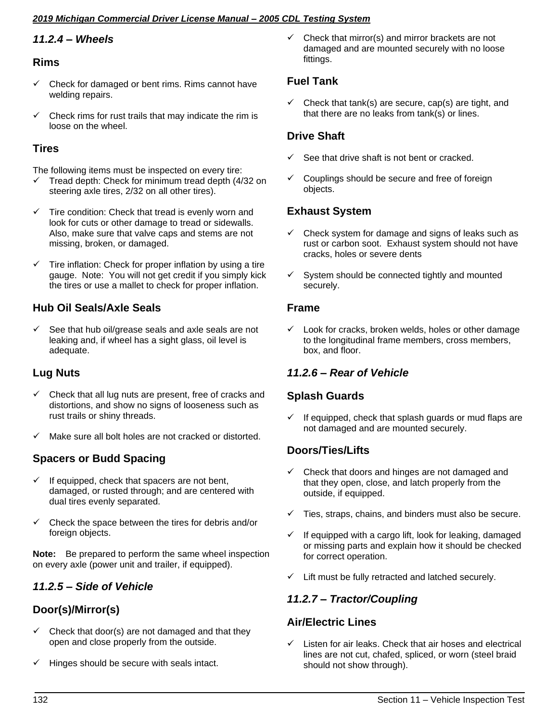#### *2019 Michigan Commercial Driver License Manual – 2005 CDL Testing System*

## *11.2.4 – Wheels*

#### **Rims**

- Check for damaged or bent rims. Rims cannot have welding repairs.
- Check rims for rust trails that may indicate the rim is loose on the wheel.

## **Tires**

The following items must be inspected on every tire:

- Tread depth: Check for minimum tread depth (4/32 on steering axle tires, 2/32 on all other tires).
- $\checkmark$  Tire condition: Check that tread is evenly worn and look for cuts or other damage to tread or sidewalls. Also, make sure that valve caps and stems are not missing, broken, or damaged.
- $\checkmark$  Tire inflation: Check for proper inflation by using a tire gauge. Note: You will not get credit if you simply kick the tires or use a mallet to check for proper inflation.

## **Hub Oil Seals/Axle Seals**

See that hub oil/grease seals and axle seals are not leaking and, if wheel has a sight glass, oil level is adequate.

## **Lug Nuts**

- Check that all lug nuts are present, free of cracks and distortions, and show no signs of looseness such as rust trails or shiny threads.
- ✓ Make sure all bolt holes are not cracked or distorted.

## **Spacers or Budd Spacing**

- $\checkmark$  If equipped, check that spacers are not bent, damaged, or rusted through; and are centered with dual tires evenly separated.
- $\checkmark$  Check the space between the tires for debris and/or foreign objects.

**Note:** Be prepared to perform the same wheel inspection on every axle (power unit and trailer, if equipped).

## *11.2.5 – Side of Vehicle*

## **Door(s)/Mirror(s)**

- $\checkmark$  Check that door(s) are not damaged and that they open and close properly from the outside.
- ✓ Hinges should be secure with seals intact.

 $\checkmark$  Check that mirror(s) and mirror brackets are not damaged and are mounted securely with no loose fittings.

## **Fuel Tank**

 $\checkmark$  Check that tank(s) are secure, cap(s) are tight, and that there are no leaks from tank(s) or lines.

## **Drive Shaft**

- See that drive shaft is not bent or cracked.
- ✓ Couplings should be secure and free of foreign objects.

#### **Exhaust System**

- $\checkmark$  Check system for damage and signs of leaks such as rust or carbon soot. Exhaust system should not have cracks, holes or severe dents
- $\checkmark$  System should be connected tightly and mounted securely.

#### **Frame**

✓ Look for cracks, broken welds, holes or other damage to the longitudinal frame members, cross members, box, and floor.

## *11.2.6 – Rear of Vehicle*

## **Splash Guards**

 $\checkmark$  If equipped, check that splash guards or mud flaps are not damaged and are mounted securely.

## **Doors/Ties/Lifts**

- Check that doors and hinges are not damaged and that they open, close, and latch properly from the outside, if equipped.
- Ties, straps, chains, and binders must also be secure.
- $\checkmark$  If equipped with a cargo lift, look for leaking, damaged or missing parts and explain how it should be checked for correct operation.
- Lift must be fully retracted and latched securely.

## *11.2.7 – Tractor/Coupling*

#### **Air/Electric Lines**

Listen for air leaks. Check that air hoses and electrical lines are not cut, chafed, spliced, or worn (steel braid should not show through).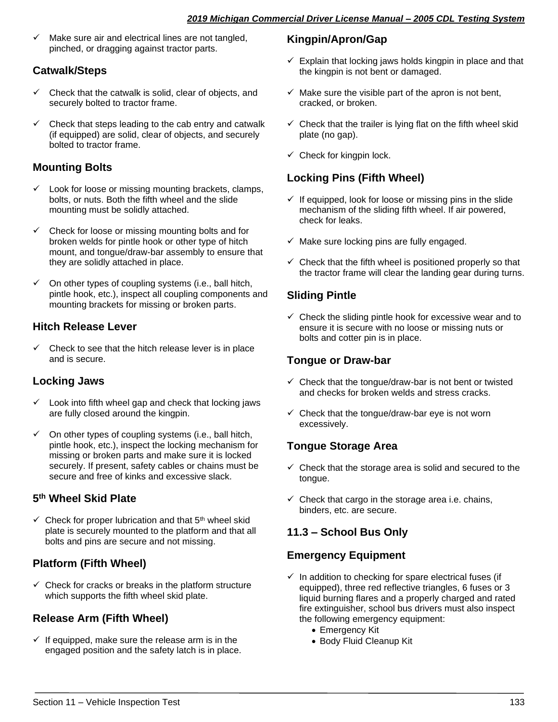✓ Make sure air and electrical lines are not tangled, pinched, or dragging against tractor parts.

## **Catwalk/Steps**

- $\checkmark$  Check that the catwalk is solid, clear of objects, and securely bolted to tractor frame.
- ✓ Check that steps leading to the cab entry and catwalk (if equipped) are solid, clear of objects, and securely bolted to tractor frame.

## **Mounting Bolts**

- ✓ Look for loose or missing mounting brackets, clamps, bolts, or nuts. Both the fifth wheel and the slide mounting must be solidly attached.
- Check for loose or missing mounting bolts and for broken welds for pintle hook or other type of hitch mount, and tongue/draw-bar assembly to ensure that they are solidly attached in place.
- $\checkmark$  On other types of coupling systems (i.e., ball hitch, pintle hook, etc.), inspect all coupling components and mounting brackets for missing or broken parts.

## **Hitch Release Lever**

 $\checkmark$  Check to see that the hitch release lever is in place and is secure.

## **Locking Jaws**

- Look into fifth wheel gap and check that locking jaws are fully closed around the kingpin.
- $\checkmark$  On other types of coupling systems (i.e., ball hitch, pintle hook, etc.), inspect the locking mechanism for missing or broken parts and make sure it is locked securely. If present, safety cables or chains must be secure and free of kinks and excessive slack.

## **5 th Wheel Skid Plate**

 $\checkmark$  Check for proper lubrication and that 5<sup>th</sup> wheel skid plate is securely mounted to the platform and that all bolts and pins are secure and not missing.

## **Platform (Fifth Wheel)**

 $\checkmark$  Check for cracks or breaks in the platform structure which supports the fifth wheel skid plate.

## **Release Arm (Fifth Wheel)**

 $\checkmark$  If equipped, make sure the release arm is in the engaged position and the safety latch is in place.

## **Kingpin/Apron/Gap**

- $\checkmark$  Explain that locking jaws holds kingpin in place and that the kingpin is not bent or damaged.
- $\checkmark$  Make sure the visible part of the apron is not bent, cracked, or broken.
- $\checkmark$  Check that the trailer is lying flat on the fifth wheel skid plate (no gap).
- $\checkmark$  Check for kingpin lock.

## **Locking Pins (Fifth Wheel)**

- $\checkmark$  If equipped, look for loose or missing pins in the slide mechanism of the sliding fifth wheel. If air powered, check for leaks.
- $\checkmark$  Make sure locking pins are fully engaged.
- $\checkmark$  Check that the fifth wheel is positioned properly so that the tractor frame will clear the landing gear during turns.

## **Sliding Pintle**

 $\checkmark$  Check the sliding pintle hook for excessive wear and to ensure it is secure with no loose or missing nuts or bolts and cotter pin is in place.

## **Tongue or Draw-bar**

- $\checkmark$  Check that the tongue/draw-bar is not bent or twisted and checks for broken welds and stress cracks.
- $\checkmark$  Check that the tongue/draw-bar eye is not worn excessively.

## **Tongue Storage Area**

- $\checkmark$  Check that the storage area is solid and secured to the tongue.
- $\checkmark$  Check that cargo in the storage area i.e. chains, binders, etc. are secure.

## **11.3 – School Bus Only**

## **Emergency Equipment**

- $\checkmark$  In addition to checking for spare electrical fuses (if equipped), three red reflective triangles, 6 fuses or 3 liquid burning flares and a properly charged and rated fire extinguisher, school bus drivers must also inspect the following emergency equipment:
	- Emergency Kit
	- Body Fluid Cleanup Kit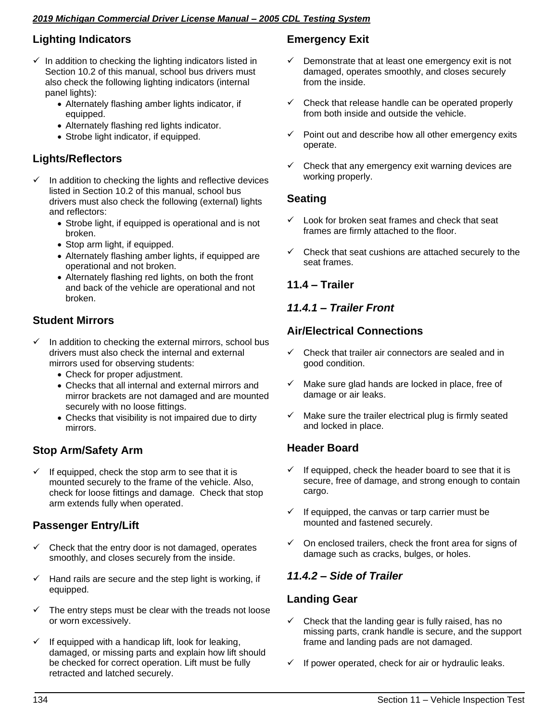#### *2019 Michigan Commercial Driver License Manual – 2005 CDL Testing System*

## **Lighting Indicators**

- $\checkmark$  In addition to checking the lighting indicators listed in Section 10.2 of this manual, school bus drivers must also check the following lighting indicators (internal panel lights):
	- Alternately flashing amber lights indicator, if equipped.
	- Alternately flashing red lights indicator.
	- Strobe light indicator, if equipped.

## **Lights/Reflectors**

- In addition to checking the lights and reflective devices listed in Section 10.2 of this manual, school bus drivers must also check the following (external) lights and reflectors:
	- Strobe light, if equipped is operational and is not broken.
	- Stop arm light, if equipped.
	- Alternately flashing amber lights, if equipped are operational and not broken.
	- Alternately flashing red lights, on both the front and back of the vehicle are operational and not broken.

## **Student Mirrors**

- In addition to checking the external mirrors, school bus drivers must also check the internal and external mirrors used for observing students:
	- Check for proper adjustment.
	- Checks that all internal and external mirrors and mirror brackets are not damaged and are mounted securely with no loose fittings.
	- Checks that visibility is not impaired due to dirty mirrors.

## **Stop Arm/Safety Arm**

If equipped, check the stop arm to see that it is mounted securely to the frame of the vehicle. Also, check for loose fittings and damage. Check that stop arm extends fully when operated.

## **Passenger Entry/Lift**

- $\checkmark$  Check that the entry door is not damaged, operates smoothly, and closes securely from the inside.
- $\checkmark$  Hand rails are secure and the step light is working, if equipped.
- $\checkmark$  The entry steps must be clear with the treads not loose or worn excessively.
- $\checkmark$  If equipped with a handicap lift, look for leaking, damaged, or missing parts and explain how lift should be checked for correct operation. Lift must be fully retracted and latched securely.

## **Emergency Exit**

- $\checkmark$  Demonstrate that at least one emergency exit is not damaged, operates smoothly, and closes securely from the inside.
- Check that release handle can be operated properly from both inside and outside the vehicle.
- ✓ Point out and describe how all other emergency exits operate.
- $\checkmark$  Check that any emergency exit warning devices are working properly.

## **Seating**

- Look for broken seat frames and check that seat frames are firmly attached to the floor.
- $\checkmark$  Check that seat cushions are attached securely to the seat frames.

## **11.4 – Trailer**

## *11.4.1 – Trailer Front*

## **Air/Electrical Connections**

- $\checkmark$  Check that trailer air connectors are sealed and in good condition.
- $\checkmark$  Make sure glad hands are locked in place, free of damage or air leaks.
- $\checkmark$  Make sure the trailer electrical plug is firmly seated and locked in place.

## **Header Board**

- If equipped, check the header board to see that it is secure, free of damage, and strong enough to contain cargo.
- $\checkmark$  If equipped, the canvas or tarp carrier must be mounted and fastened securely.
- $\checkmark$  On enclosed trailers, check the front area for signs of damage such as cracks, bulges, or holes.

## *11.4.2 – Side of Trailer*

#### **Landing Gear**

- Check that the landing gear is fully raised, has no missing parts, crank handle is secure, and the support frame and landing pads are not damaged.
- If power operated, check for air or hydraulic leaks.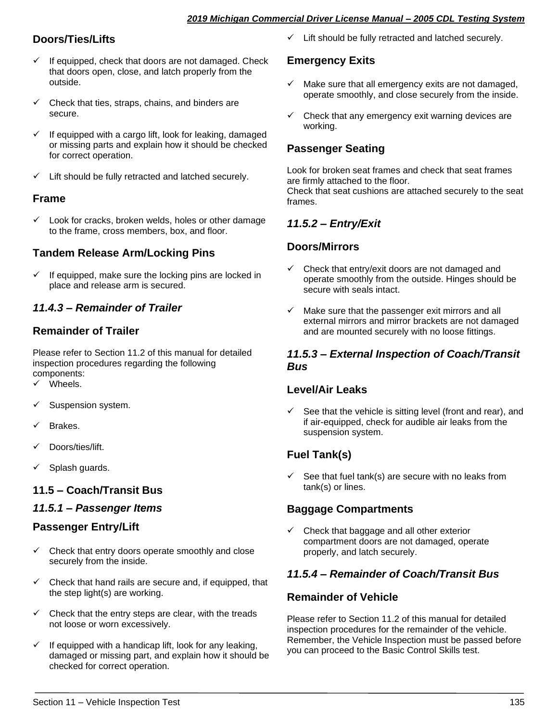## **Doors/Ties/Lifts**

- $\checkmark$  If equipped, check that doors are not damaged. Check that doors open, close, and latch properly from the outside.
- Check that ties, straps, chains, and binders are secure.
- If equipped with a cargo lift, look for leaking, damaged or missing parts and explain how it should be checked for correct operation.
- $\checkmark$  Lift should be fully retracted and latched securely.

#### **Frame**

Look for cracks, broken welds, holes or other damage to the frame, cross members, box, and floor.

## **Tandem Release Arm/Locking Pins**

✓ If equipped, make sure the locking pins are locked in place and release arm is secured.

## *11.4.3 – Remainder of Trailer*

## **Remainder of Trailer**

Please refer to Section 11.2 of this manual for detailed inspection procedures regarding the following components:

- ✓ Wheels.
- ✓ Suspension system.
- Brakes.
- Doors/ties/lift.
- Splash guards.

## **11.5 – Coach/Transit Bus**

## *11.5.1 – Passenger Items*

## **Passenger Entry/Lift**

- $\checkmark$  Check that entry doors operate smoothly and close securely from the inside.
- $\checkmark$  Check that hand rails are secure and, if equipped, that the step light(s) are working.
- Check that the entry steps are clear, with the treads not loose or worn excessively.
- If equipped with a handicap lift, look for any leaking, damaged or missing part, and explain how it should be checked for correct operation.

✓ Lift should be fully retracted and latched securely.

## **Emergency Exits**

- $\checkmark$  Make sure that all emergency exits are not damaged. operate smoothly, and close securely from the inside.
- $\checkmark$  Check that any emergency exit warning devices are working.

## **Passenger Seating**

Look for broken seat frames and check that seat frames are firmly attached to the floor. Check that seat cushions are attached securely to the seat frames.

## *11.5.2 – Entry/Exit*

## **Doors/Mirrors**

- Check that entry/exit doors are not damaged and operate smoothly from the outside. Hinges should be secure with seals intact.
- $\checkmark$  Make sure that the passenger exit mirrors and all external mirrors and mirror brackets are not damaged and are mounted securely with no loose fittings.

#### *11.5.3 – External Inspection of Coach/Transit Bus*

#### **Level/Air Leaks**

See that the vehicle is sitting level (front and rear), and if air-equipped, check for audible air leaks from the suspension system.

## **Fuel Tank(s)**

See that fuel tank(s) are secure with no leaks from tank(s) or lines.

## **Baggage Compartments**

 $\checkmark$  Check that baggage and all other exterior compartment doors are not damaged, operate properly, and latch securely.

## *11.5.4 – Remainder of Coach/Transit Bus*

#### **Remainder of Vehicle**

Please refer to Section 11.2 of this manual for detailed inspection procedures for the remainder of the vehicle. Remember, the Vehicle Inspection must be passed before you can proceed to the Basic Control Skills test.